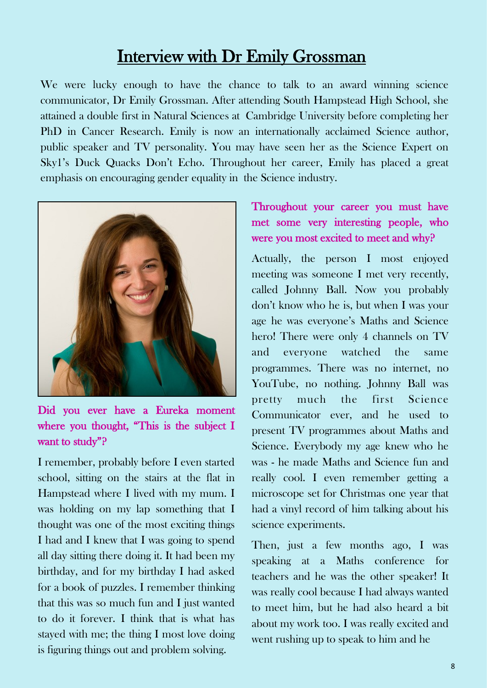# Interview with Dr Emily Grossman

We were lucky enough to have the chance to talk to an award winning science communicator, Dr Emily Grossman. After attending South Hampstead High School, she attained a double first in Natural Sciences at Cambridge University before completing her PhD in Cancer Research. Emily is now an internationally acclaimed Science author, public speaker and TV personality. You may have seen her as the Science Expert on Sky1's Duck Quacks Don't Echo. Throughout her career, Emily has placed a great emphasis on encouraging gender equality in the Science industry.



Did you ever have a Eureka moment where you thought, "This is the subject I want to study"?

I remember, probably before I even started school, sitting on the stairs at the flat in Hampstead where I lived with my mum. I was holding on my lap something that I thought was one of the most exciting things I had and I knew that I was going to spend all day sitting there doing it. It had been my birthday, and for my birthday I had asked for a book of puzzles. I remember thinking that this was so much fun and I just wanted to do it forever. I think that is what has stayed with me; the thing I most love doing is figuring things out and problem solving.

## Throughout your career you must have met some very interesting people, who were you most excited to meet and why?

Actually, the person I most enjoyed meeting was someone I met very recently, called Johnny Ball. Now you probably don't know who he is, but when I was your age he was everyone's Maths and Science hero! There were only 4 channels on TV and everyone watched the same programmes. There was no internet, no YouTube, no nothing. Johnny Ball was pretty much the first Science Communicator ever, and he used to present TV programmes about Maths and Science. Everybody my age knew who he was - he made Maths and Science fun and really cool. I even remember getting a microscope set for Christmas one year that had a vinyl record of him talking about his science experiments.

Then, just a few months ago, I was speaking at a Maths conference for teachers and he was the other speaker! It was really cool because I had always wanted to meet him, but he had also heard a bit about my work too. I was really excited and went rushing up to speak to him and he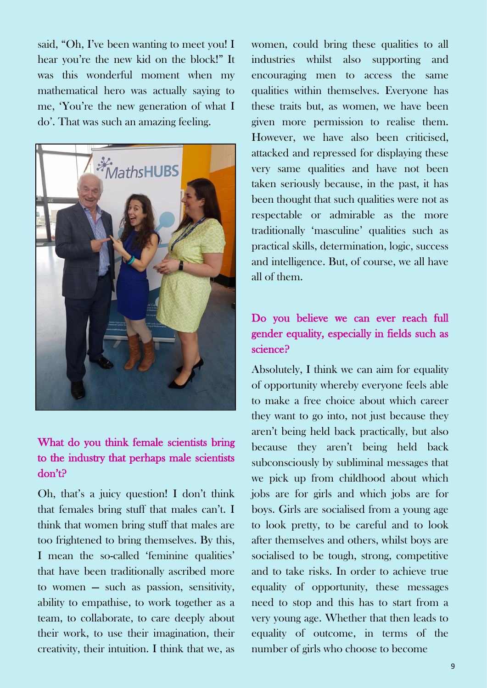said, "Oh, I've been wanting to meet you! I hear you're the new kid on the block!" It was this wonderful moment when my mathematical hero was actually saying to me, 'You're the new generation of what I do'. That was such an amazing feeling.



#### What do you think female scientists bring to the industry that perhaps male scientists don't?

Oh, that's a juicy question! I don't think that females bring stuff that males can't. I think that women bring stuff that males are too frightened to bring themselves. By this, I mean the so-called 'feminine qualities' that have been traditionally ascribed more to women — such as passion, sensitivity, ability to empathise, to work together as a team, to collaborate, to care deeply about their work, to use their imagination, their creativity, their intuition. I think that we, as

women, could bring these qualities to all industries whilst also supporting and encouraging men to access the same qualities within themselves. Everyone has these traits but, as women, we have been given more permission to realise them. However, we have also been criticised, attacked and repressed for displaying these very same qualities and have not been taken seriously because, in the past, it has been thought that such qualities were not as respectable or admirable as the more traditionally 'masculine' qualities such as practical skills, determination, logic, success and intelligence. But, of course, we all have all of them.

## Do you believe we can ever reach full gender equality, especially in fields such as science?

Absolutely, I think we can aim for equality of opportunity whereby everyone feels able to make a free choice about which career they want to go into, not just because they aren't being held back practically, but also because they aren't being held back subconsciously by subliminal messages that we pick up from childhood about which jobs are for girls and which jobs are for boys. Girls are socialised from a young age to look pretty, to be careful and to look after themselves and others, whilst boys are socialised to be tough, strong, competitive and to take risks. In order to achieve true equality of opportunity, these messages need to stop and this has to start from a very young age. Whether that then leads to equality of outcome, in terms of the number of girls who choose to become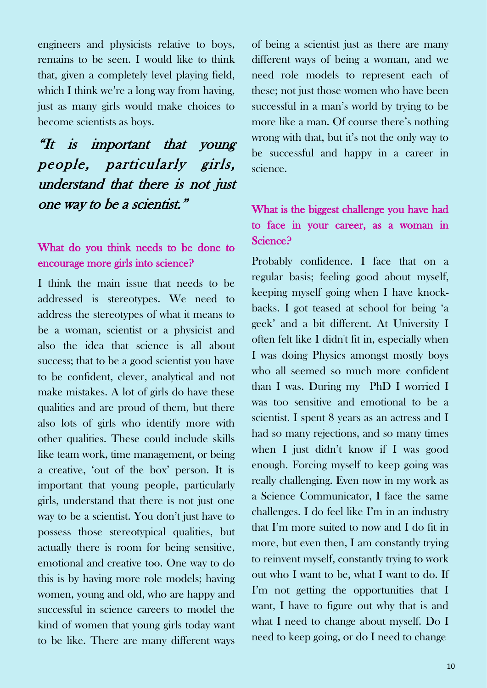engineers and physicists relative to boys, remains to be seen. I would like to think that, given a completely level playing field, which I think we're a long way from having, just as many girls would make choices to become scientists as boys.

"It is important that young people, particularly girls, understand that there is not just one way to be a scientist."

#### What do you think needs to be done to encourage more girls into science?

I think the main issue that needs to be addressed is stereotypes. We need to address the stereotypes of what it means to be a woman, scientist or a physicist and also the idea that science is all about success; that to be a good scientist you have to be confident, clever, analytical and not make mistakes. A lot of girls do have these qualities and are proud of them, but there also lots of girls who identify more with other qualities. These could include skills like team work, time management, or being a creative, 'out of the box' person. It is important that young people, particularly girls, understand that there is not just one way to be a scientist. You don't just have to possess those stereotypical qualities, but actually there is room for being sensitive, emotional and creative too. One way to do this is by having more role models; having women, young and old, who are happy and successful in science careers to model the kind of women that young girls today want to be like. There are many different ways

of being a scientist just as there are many different ways of being a woman, and we need role models to represent each of these; not just those women who have been successful in a man's world by trying to be more like a man. Of course there's nothing wrong with that, but it's not the only way to be successful and happy in a career in science.

#### What is the biggest challenge you have had to face in your career, as a woman in Science?

Probably confidence. I face that on a regular basis; feeling good about myself, keeping myself going when I have knockbacks. I got teased at school for being 'a geek' and a bit different. At University I often felt like I didn't fit in, especially when I was doing Physics amongst mostly boys who all seemed so much more confident than I was. During my PhD I worried I was too sensitive and emotional to be a scientist. I spent 8 years as an actress and I had so many rejections, and so many times when I just didn't know if I was good enough. Forcing myself to keep going was really challenging. Even now in my work as a Science Communicator, I face the same challenges. I do feel like I'm in an industry that I'm more suited to now and I do fit in more, but even then, I am constantly trying to reinvent myself, constantly trying to work out who I want to be, what I want to do. If I'm not getting the opportunities that I want, I have to figure out why that is and what I need to change about myself. Do I need to keep going, or do I need to change